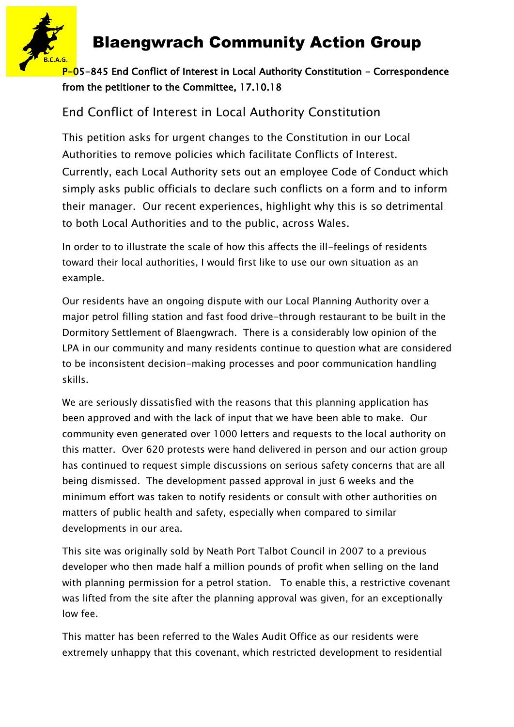

#### P-05-845 End Conflict of Interest in Local Authority Constitution - Correspondence from the petitioner to the Committee, 17.10.18

### End Conflict of Interest in Local Authority Constitution

This petition asks for urgent changes to the Constitution in our Local Authorities to remove policies which facilitate Conflicts of Interest. Currently, each Local Authority sets out an employee Code of Conduct which simply asks public officials to declare such conflicts on a form and to inform their manager. Our recent experiences, highlight why this is so detrimental to both Local Authorities and to the public, across Wales.

In order to to illustrate the scale of how this affects the ill-feelings of residents toward their local authorities, I would first like to use our own situation as an example.

Our residents have an ongoing dispute with our Local Planning Authority over a major petrol filling station and fast food drive-through restaurant to be built in the Dormitory Settlement of Blaengwrach. There is a considerably low opinion of the LPA in our community and many residents continue to question what are considered to be inconsistent decision-making processes and poor communication handling skills.

We are seriously dissatisfied with the reasons that this planning application has been approved and with the lack of input that we have been able to make. Our community even generated over 1000 letters and requests to the local authority on this matter. Over 620 protests were hand delivered in person and our action group has continued to request simple discussions on serious safety concerns that are all being dismissed. The development passed approval in just 6 weeks and the minimum effort was taken to notify residents or consult with other authorities on matters of public health and safety, especially when compared to similar developments in our area.

This site was originally sold by Neath Port Talbot Council in 2007 to a previous developer who then made half a million pounds of profit when selling on the land with planning permission for a petrol station. To enable this, a restrictive covenant was lifted from the site after the planning approval was given, for an exceptionally low fee.

This matter has been referred to the Wales Audit Office as our residents were extremely unhappy that this covenant, which restricted development to residential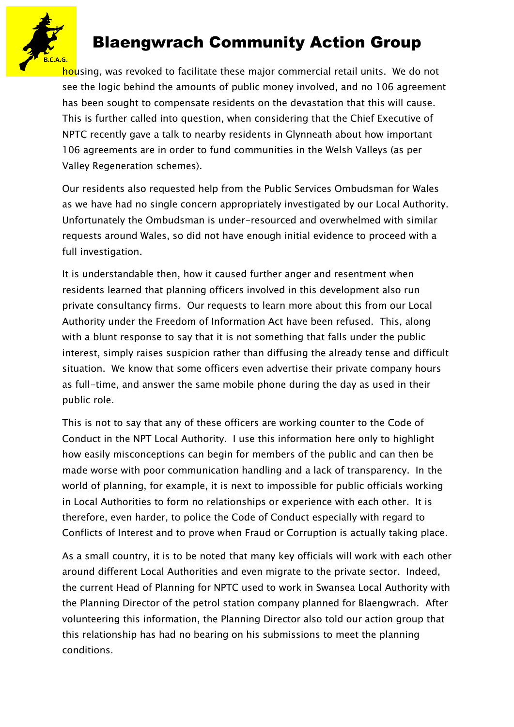

housing, was revoked to facilitate these major commercial retail units. We do not see the logic behind the amounts of public money involved, and no 106 agreement has been sought to compensate residents on the devastation that this will cause. This is further called into question, when considering that the Chief Executive of NPTC recently gave a talk to nearby residents in Glynneath about how important 106 agreements are in order to fund communities in the Welsh Valleys (as per Valley Regeneration schemes).

Our residents also requested help from the Public Services Ombudsman for Wales as we have had no single concern appropriately investigated by our Local Authority. Unfortunately the Ombudsman is under-resourced and overwhelmed with similar requests around Wales, so did not have enough initial evidence to proceed with a full investigation.

It is understandable then, how it caused further anger and resentment when residents learned that planning officers involved in this development also run private consultancy firms. Our requests to learn more about this from our Local Authority under the Freedom of Information Act have been refused. This, along with a blunt response to say that it is not something that falls under the public interest, simply raises suspicion rather than diffusing the already tense and difficult situation. We know that some officers even advertise their private company hours as full-time, and answer the same mobile phone during the day as used in their public role.

This is not to say that any of these officers are working counter to the Code of Conduct in the NPT Local Authority. I use this information here only to highlight how easily misconceptions can begin for members of the public and can then be made worse with poor communication handling and a lack of transparency. In the world of planning, for example, it is next to impossible for public officials working in Local Authorities to form no relationships or experience with each other. It is therefore, even harder, to police the Code of Conduct especially with regard to Conflicts of Interest and to prove when Fraud or Corruption is actually taking place.

As a small country, it is to be noted that many key officials will work with each other around different Local Authorities and even migrate to the private sector. Indeed, the current Head of Planning for NPTC used to work in Swansea Local Authority with the Planning Director of the petrol station company planned for Blaengwrach. After volunteering this information, the Planning Director also told our action group that this relationship has had no bearing on his submissions to meet the planning conditions.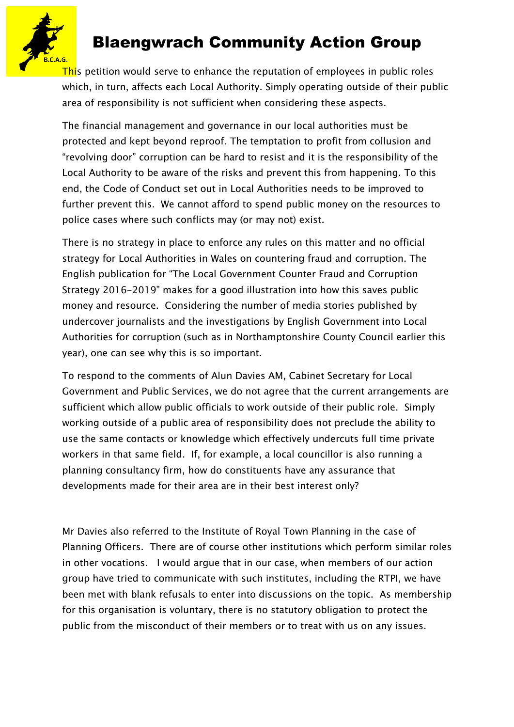

This petition would serve to enhance the reputation of employees in public roles which, in turn, affects each Local Authority. Simply operating outside of their public area of responsibility is not sufficient when considering these aspects.

The financial management and governance in our local authorities must be protected and kept beyond reproof. The temptation to profit from collusion and "revolving door" corruption can be hard to resist and it is the responsibility of the Local Authority to be aware of the risks and prevent this from happening. To this end, the Code of Conduct set out in Local Authorities needs to be improved to further prevent this. We cannot afford to spend public money on the resources to police cases where such conflicts may (or may not) exist.

There is no strategy in place to enforce any rules on this matter and no official strategy for Local Authorities in Wales on countering fraud and corruption. The English publication for "The Local Government Counter Fraud and Corruption Strategy 2016-2019" makes for a good illustration into how this saves public money and resource. Considering the number of media stories published by undercover journalists and the investigations by English Government into Local Authorities for corruption (such as in Northamptonshire County Council earlier this year), one can see why this is so important.

To respond to the comments of Alun Davies AM, Cabinet Secretary for Local Government and Public Services, we do not agree that the current arrangements are sufficient which allow public officials to work outside of their public role. Simply working outside of a public area of responsibility does not preclude the ability to use the same contacts or knowledge which effectively undercuts full time private workers in that same field. If, for example, a local councillor is also running a planning consultancy firm, how do constituents have any assurance that developments made for their area are in their best interest only?

Mr Davies also referred to the Institute of Royal Town Planning in the case of Planning Officers. There are of course other institutions which perform similar roles in other vocations. I would argue that in our case, when members of our action group have tried to communicate with such institutes, including the RTPI, we have been met with blank refusals to enter into discussions on the topic. As membership for this organisation is voluntary, there is no statutory obligation to protect the public from the misconduct of their members or to treat with us on any issues.